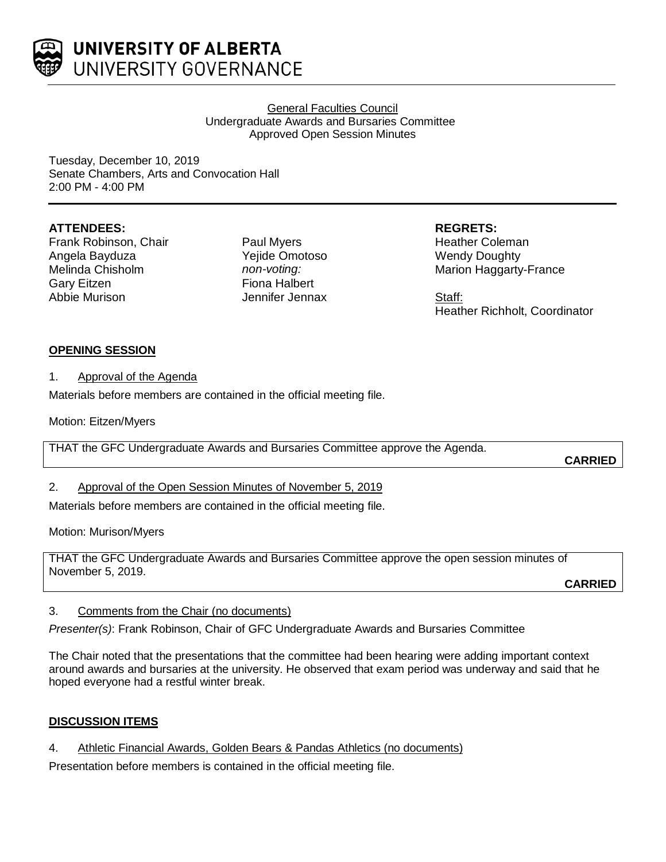

## General Faculties Council Undergraduate Awards and Bursaries Committee Approved Open Session Minutes

Tuesday, December 10, 2019 Senate Chambers, Arts and Convocation Hall 2:00 PM - 4:00 PM

## **ATTENDEES:**

Frank Robinson, Chair Angela Bayduza Melinda Chisholm Gary Eitzen Abbie Murison

Paul Myers Yejide Omotoso *non-voting:* Fiona Halbert Jennifer Jennax **REGRETS:**

Heather Coleman Wendy Doughty Marion Haggarty-France

Staff: Heather Richholt, Coordinator

## **OPENING SESSION**

## 1. Approval of the Agenda

Materials before members are contained in the official meeting file.

Motion: Eitzen/Myers

THAT the GFC Undergraduate Awards and Bursaries Committee approve the Agenda.

**CARRIED**

# 2. Approval of the Open Session Minutes of November 5, 2019

Materials before members are contained in the official meeting file.

Motion: Murison/Myers

THAT the GFC Undergraduate Awards and Bursaries Committee approve the open session minutes of November 5, 2019. **CARRIED**

# 3. Comments from the Chair (no documents)

*Presenter(s)*: Frank Robinson, Chair of GFC Undergraduate Awards and Bursaries Committee

The Chair noted that the presentations that the committee had been hearing were adding important context around awards and bursaries at the university. He observed that exam period was underway and said that he hoped everyone had a restful winter break.

# **DISCUSSION ITEMS**

4. Athletic Financial Awards, Golden Bears & Pandas Athletics (no documents)

Presentation before members is contained in the official meeting file.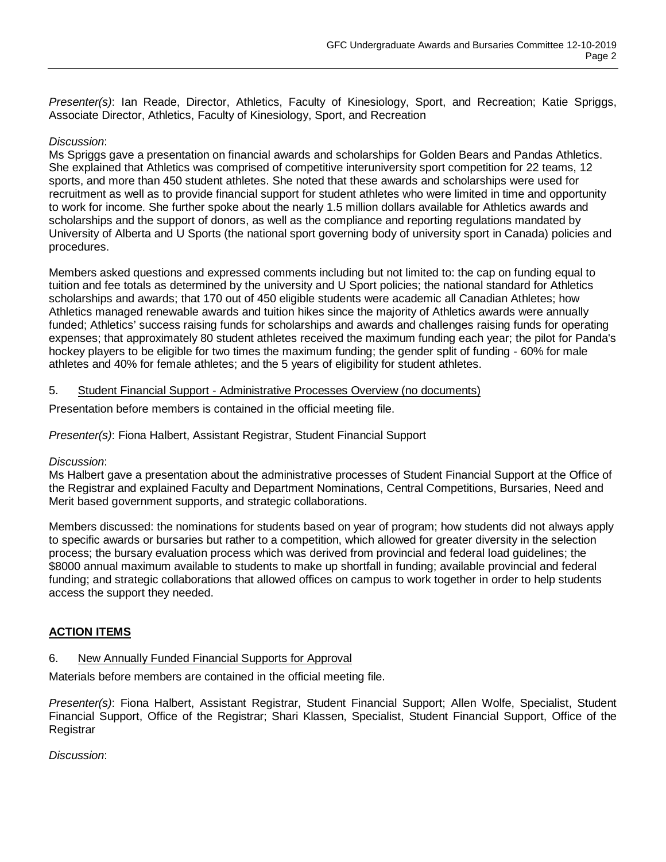*Presenter(s)*: Ian Reade, Director, Athletics, Faculty of Kinesiology, Sport, and Recreation; Katie Spriggs, Associate Director, Athletics, Faculty of Kinesiology, Sport, and Recreation

## *Discussion*:

Ms Spriggs gave a presentation on financial awards and scholarships for Golden Bears and Pandas Athletics. She explained that Athletics was comprised of competitive interuniversity sport competition for 22 teams, 12 sports, and more than 450 student athletes. She noted that these awards and scholarships were used for recruitment as well as to provide financial support for student athletes who were limited in time and opportunity to work for income. She further spoke about the nearly 1.5 million dollars available for Athletics awards and scholarships and the support of donors, as well as the compliance and reporting regulations mandated by University of Alberta and U Sports (the national sport governing body of university sport in Canada) policies and procedures.

Members asked questions and expressed comments including but not limited to: the cap on funding equal to tuition and fee totals as determined by the university and U Sport policies; the national standard for Athletics scholarships and awards; that 170 out of 450 eligible students were academic all Canadian Athletes; how Athletics managed renewable awards and tuition hikes since the majority of Athletics awards were annually funded; Athletics' success raising funds for scholarships and awards and challenges raising funds for operating expenses; that approximately 80 student athletes received the maximum funding each year; the pilot for Panda's hockey players to be eligible for two times the maximum funding; the gender split of funding - 60% for male athletes and 40% for female athletes; and the 5 years of eligibility for student athletes.

#### 5. Student Financial Support - Administrative Processes Overview (no documents)

Presentation before members is contained in the official meeting file.

## *Presenter(s)*: Fiona Halbert, Assistant Registrar, Student Financial Support

#### *Discussion*:

Ms Halbert gave a presentation about the administrative processes of Student Financial Support at the Office of the Registrar and explained Faculty and Department Nominations, Central Competitions, Bursaries, Need and Merit based government supports, and strategic collaborations.

Members discussed: the nominations for students based on year of program; how students did not always apply to specific awards or bursaries but rather to a competition, which allowed for greater diversity in the selection process; the bursary evaluation process which was derived from provincial and federal load guidelines; the \$8000 annual maximum available to students to make up shortfall in funding; available provincial and federal funding; and strategic collaborations that allowed offices on campus to work together in order to help students access the support they needed.

## **ACTION ITEMS**

#### 6. New Annually Funded Financial Supports for Approval

Materials before members are contained in the official meeting file.

*Presenter(s)*: Fiona Halbert, Assistant Registrar, Student Financial Support; Allen Wolfe, Specialist, Student Financial Support, Office of the Registrar; Shari Klassen, Specialist, Student Financial Support, Office of the **Registrar** 

*Discussion*: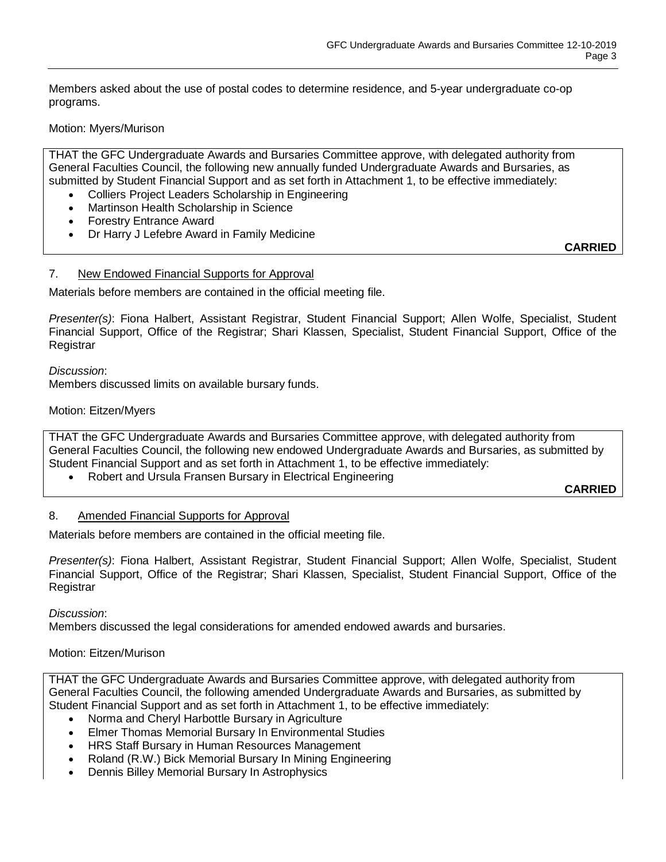Members asked about the use of postal codes to determine residence, and 5-year undergraduate co-op programs.

## Motion: Myers/Murison

THAT the GFC Undergraduate Awards and Bursaries Committee approve, with delegated authority from General Faculties Council, the following new annually funded Undergraduate Awards and Bursaries, as submitted by Student Financial Support and as set forth in Attachment 1, to be effective immediately:

- Colliers Project Leaders Scholarship in Engineering
- Martinson Health Scholarship in Science
- Forestry Entrance Award
- Dr Harry J Lefebre Award in Family Medicine

**CARRIED**

#### 7. New Endowed Financial Supports for Approval

Materials before members are contained in the official meeting file.

*Presenter(s)*: Fiona Halbert, Assistant Registrar, Student Financial Support; Allen Wolfe, Specialist, Student Financial Support, Office of the Registrar; Shari Klassen, Specialist, Student Financial Support, Office of the Registrar

*Discussion*:

Members discussed limits on available bursary funds.

#### Motion: Eitzen/Myers

THAT the GFC Undergraduate Awards and Bursaries Committee approve, with delegated authority from General Faculties Council, the following new endowed Undergraduate Awards and Bursaries, as submitted by Student Financial Support and as set forth in Attachment 1, to be effective immediately:

• Robert and Ursula Fransen Bursary in Electrical Engineering

**CARRIED**

#### 8. Amended Financial Supports for Approval

Materials before members are contained in the official meeting file.

*Presenter(s)*: Fiona Halbert, Assistant Registrar, Student Financial Support; Allen Wolfe, Specialist, Student Financial Support, Office of the Registrar; Shari Klassen, Specialist, Student Financial Support, Office of the **Registrar** 

*Discussion*:

Members discussed the legal considerations for amended endowed awards and bursaries.

#### Motion: Eitzen/Murison

THAT the GFC Undergraduate Awards and Bursaries Committee approve, with delegated authority from General Faculties Council, the following amended Undergraduate Awards and Bursaries, as submitted by Student Financial Support and as set forth in Attachment 1, to be effective immediately:

- Norma and Cheryl Harbottle Bursary in Agriculture
- Elmer Thomas Memorial Bursary In Environmental Studies
- HRS Staff Bursary in Human Resources Management
- Roland (R.W.) Bick Memorial Bursary In Mining Engineering
- Dennis Billey Memorial Bursary In Astrophysics